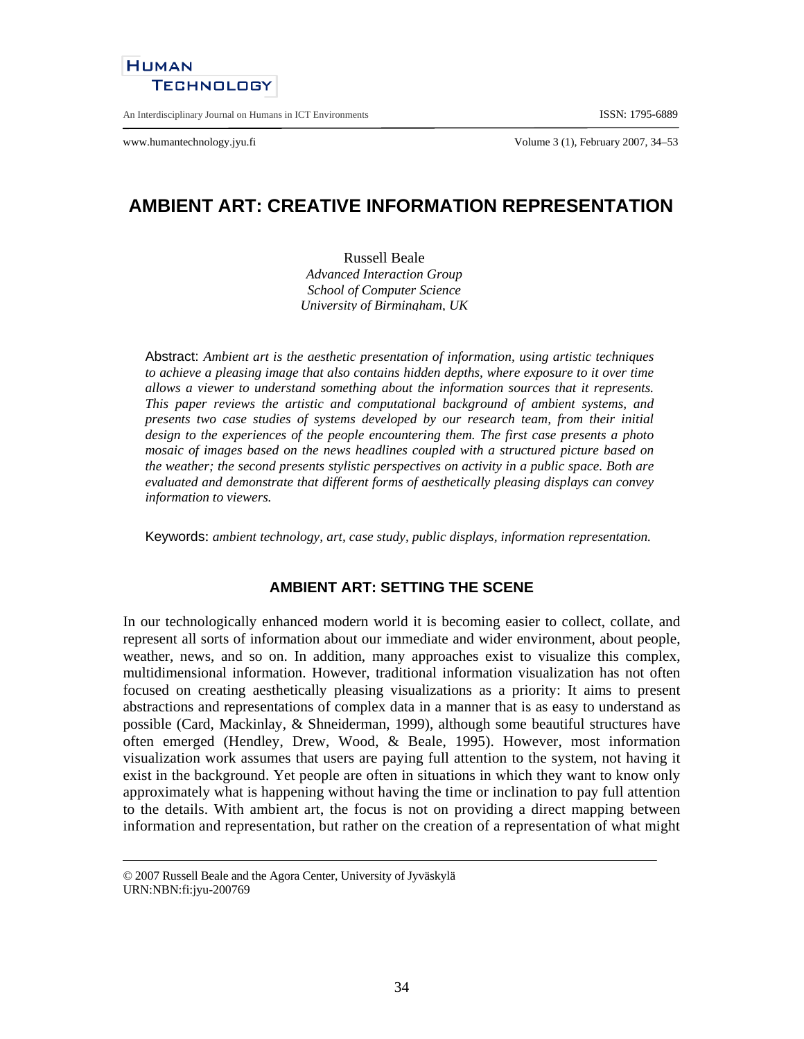

An Interdisciplinary Journal on Humans in ICT Environments ISSN: 1795-6889

www.humantechnology.jyu.fi Volume 3 (1), February 2007, 34–53

# **AMBIENT ART: CREATIVE INFORMATION REPRESENTATION**

Russell Beale *Advanced Interaction Group School of Computer Science University of Birmingham, UK*

Abstract: *Ambient art is the aesthetic presentation of information, using artistic techniques to achieve a pleasing image that also contains hidden depths, where exposure to it over time allows a viewer to understand something about the information sources that it represents. This paper reviews the artistic and computational background of ambient systems, and presents two case studies of systems developed by our research team, from their initial design to the experiences of the people encountering them. The first case presents a photo mosaic of images based on the news headlines coupled with a structured picture based on the weather; the second presents stylistic perspectives on activity in a public space. Both are evaluated and demonstrate that different forms of aesthetically pleasing displays can convey information to viewers.*

Keywords: *ambient technology, art, case study, public displays, information representation.*

# **AMBIENT ART: SETTING THE SCENE**

In our technologically enhanced modern world it is becoming easier to collect, collate, and represent all sorts of information about our immediate and wider environment, about people, weather, news, and so on. In addition, many approaches exist to visualize this complex, multidimensional information. However, traditional information visualization has not often focused on creating aesthetically pleasing visualizations as a priority: It aims to present abstractions and representations of complex data in a manner that is as easy to understand as possible (Card, Mackinlay, & Shneiderman, 1999), although some beautiful structures have often emerged (Hendley, Drew, Wood, & Beale, 1995). However, most information visualization work assumes that users are paying full attention to the system, not having it exist in the background. Yet people are often in situations in which they want to know only approximately what is happening without having the time or inclination to pay full attention to the details. With ambient art, the focus is not on providing a direct mapping between information and representation, but rather on the creation of a representation of what might

<sup>© 2007</sup> Russell Beale and the Agora Center, University of Jyväskylä URN:NBN:fi:jyu-200769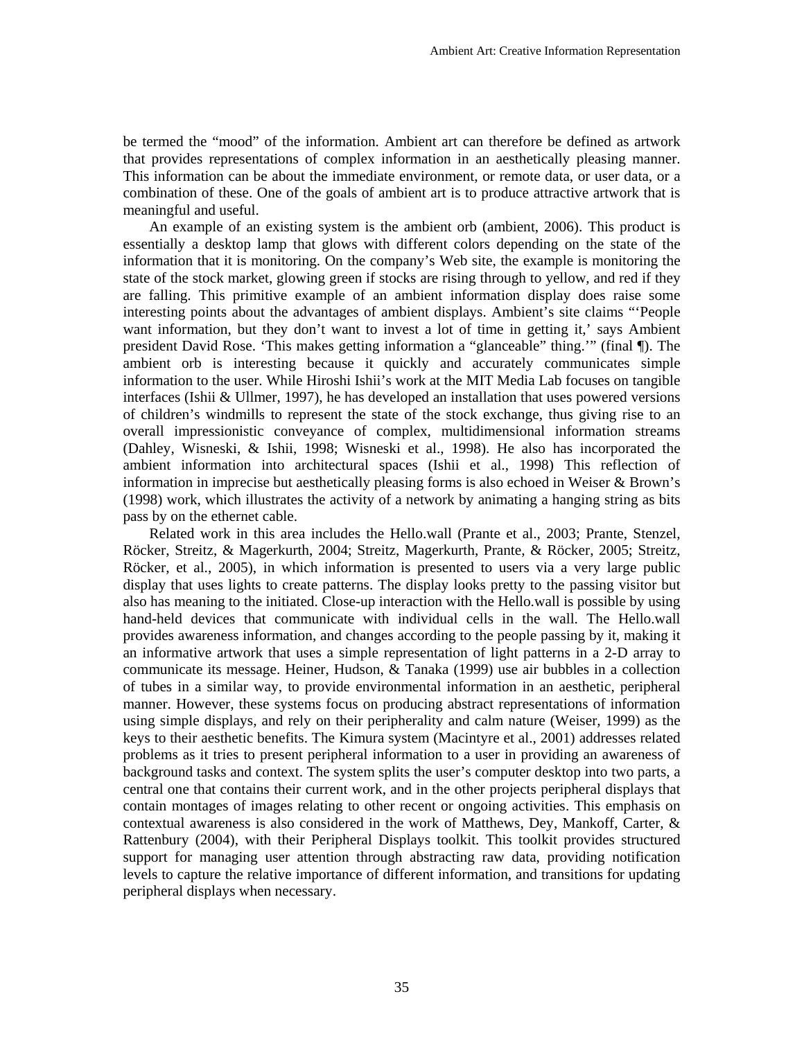be termed the "mood" of the information. Ambient art can therefore be defined as artwork that provides representations of complex information in an aesthetically pleasing manner. This information can be about the immediate environment, or remote data, or user data, or a combination of these. One of the goals of ambient art is to produce attractive artwork that is meaningful and useful.

An example of an existing system is the ambient orb (ambient, 2006). This product is essentially a desktop lamp that glows with different colors depending on the state of the information that it is monitoring. On the company's Web site, the example is monitoring the state of the stock market, glowing green if stocks are rising through to yellow, and red if they are falling. This primitive example of an ambient information display does raise some interesting points about the advantages of ambient displays. Ambient's site claims "'People want information, but they don't want to invest a lot of time in getting it,' says Ambient president David Rose. 'This makes getting information a "glanceable" thing.'" (final ¶). The ambient orb is interesting because it quickly and accurately communicates simple information to the user. While Hiroshi Ishii's work at the MIT Media Lab focuses on tangible interfaces (Ishii & Ullmer, 1997), he has developed an installation that uses powered versions of children's windmills to represent the state of the stock exchange, thus giving rise to an overall impressionistic conveyance of complex, multidimensional information streams (Dahley, Wisneski, & Ishii, 1998; Wisneski et al., 1998). He also has incorporated the ambient information into architectural spaces (Ishii et al., 1998) This reflection of information in imprecise but aesthetically pleasing forms is also echoed in Weiser & Brown's (1998) work, which illustrates the activity of a network by animating a hanging string as bits pass by on the ethernet cable.

Related work in this area includes the Hello.wall (Prante et al., 2003; Prante, Stenzel, Röcker, Streitz, & Magerkurth, 2004; Streitz, Magerkurth, Prante, & Röcker, 2005; Streitz, Röcker, et al., 2005), in which information is presented to users via a very large public display that uses lights to create patterns. The display looks pretty to the passing visitor but also has meaning to the initiated. Close-up interaction with the Hello.wall is possible by using hand-held devices that communicate with individual cells in the wall. The Hello.wall provides awareness information, and changes according to the people passing by it, making it an informative artwork that uses a simple representation of light patterns in a 2-D array to communicate its message. Heiner, Hudson, & Tanaka (1999) use air bubbles in a collection of tubes in a similar way, to provide environmental information in an aesthetic, peripheral manner. However, these systems focus on producing abstract representations of information using simple displays, and rely on their peripherality and calm nature (Weiser, 1999) as the keys to their aesthetic benefits. The Kimura system (Macintyre et al., 2001) addresses related problems as it tries to present peripheral information to a user in providing an awareness of background tasks and context. The system splits the user's computer desktop into two parts, a central one that contains their current work, and in the other projects peripheral displays that contain montages of images relating to other recent or ongoing activities. This emphasis on contextual awareness is also considered in the work of Matthews, Dey, Mankoff, Carter, & Rattenbury (2004), with their Peripheral Displays toolkit. This toolkit provides structured support for managing user attention through abstracting raw data, providing notification levels to capture the relative importance of different information, and transitions for updating peripheral displays when necessary.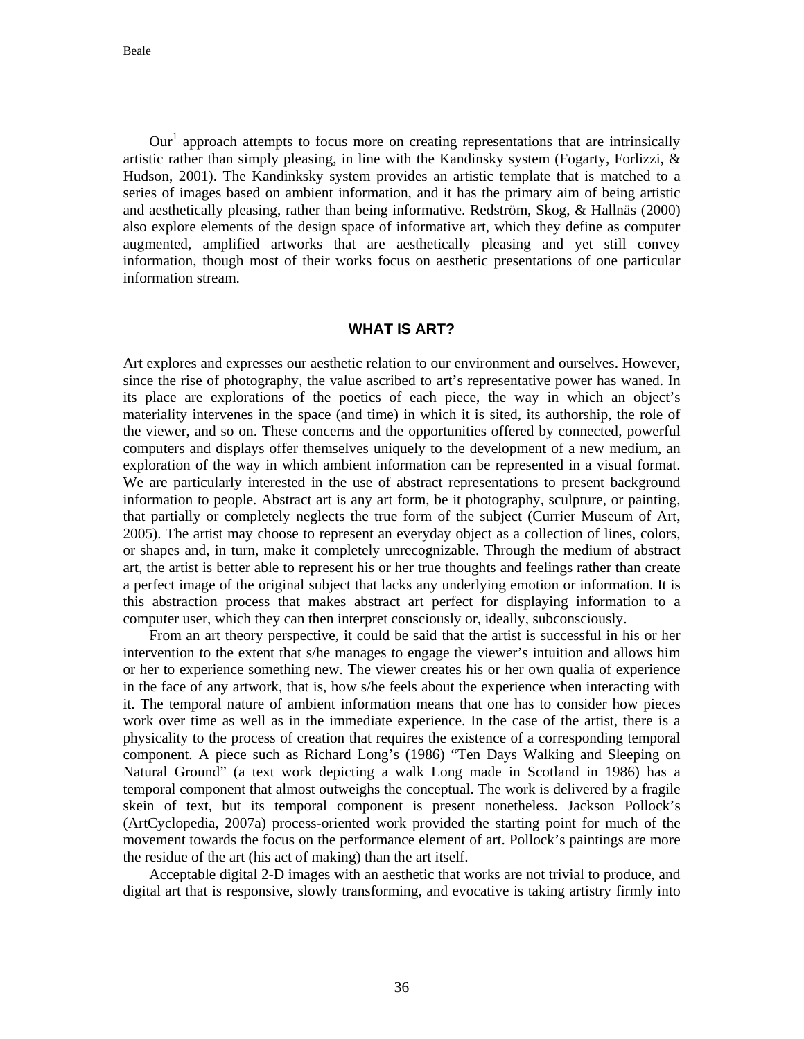$Our<sup>1</sup>$  approach attempts to focus more on creating representations that are intrinsically artistic rather than simply pleasing, in line with the Kandinsky system (Fogarty, Forlizzi,  $\&$ Hudson, 2001). The Kandinksky system provides an artistic template that is matched to a series of images based on ambient information, and it has the primary aim of being artistic and aesthetically pleasing, rather than being informative. Redström, Skog, & Hallnäs (2000) also explore elements of the design space of informative art, which they define as computer augmented, amplified artworks that are aesthetically pleasing and yet still convey information, though most of their works focus on aesthetic presentations of one particular information stream.

#### **WHAT IS ART?**

Art explores and expresses our aesthetic relation to our environment and ourselves. However, since the rise of photography, the value ascribed to art's representative power has waned. In its place are explorations of the poetics of each piece, the way in which an object's materiality intervenes in the space (and time) in which it is sited, its authorship, the role of the viewer, and so on. These concerns and the opportunities offered by connected, powerful computers and displays offer themselves uniquely to the development of a new medium, an exploration of the way in which ambient information can be represented in a visual format. We are particularly interested in the use of abstract representations to present background information to people. Abstract art is any art form, be it photography, sculpture, or painting, that partially or completely neglects the true form of the subject (Currier Museum of Art, 2005). The artist may choose to represent an everyday object as a collection of lines, colors, or shapes and, in turn, make it completely unrecognizable. Through the medium of abstract art, the artist is better able to represent his or her true thoughts and feelings rather than create a perfect image of the original subject that lacks any underlying emotion or information. It is this abstraction process that makes abstract art perfect for displaying information to a computer user, which they can then interpret consciously or, ideally, subconsciously.

 From an art theory perspective, it could be said that the artist is successful in his or her intervention to the extent that s/he manages to engage the viewer's intuition and allows him or her to experience something new. The viewer creates his or her own qualia of experience in the face of any artwork, that is, how s/he feels about the experience when interacting with it. The temporal nature of ambient information means that one has to consider how pieces work over time as well as in the immediate experience. In the case of the artist, there is a physicality to the process of creation that requires the existence of a corresponding temporal component. A piece such as Richard Long's (1986) "Ten Days Walking and Sleeping on Natural Ground" (a text work depicting a walk Long made in Scotland in 1986) has a temporal component that almost outweighs the conceptual. The work is delivered by a fragile skein of text, but its temporal component is present nonetheless. Jackson Pollock's (ArtCyclopedia, 2007a) process-oriented work provided the starting point for much of the movement towards the focus on the performance element of art. Pollock's paintings are more the residue of the art (his act of making) than the art itself.

Acceptable digital 2-D images with an aesthetic that works are not trivial to produce, and digital art that is responsive, slowly transforming, and evocative is taking artistry firmly into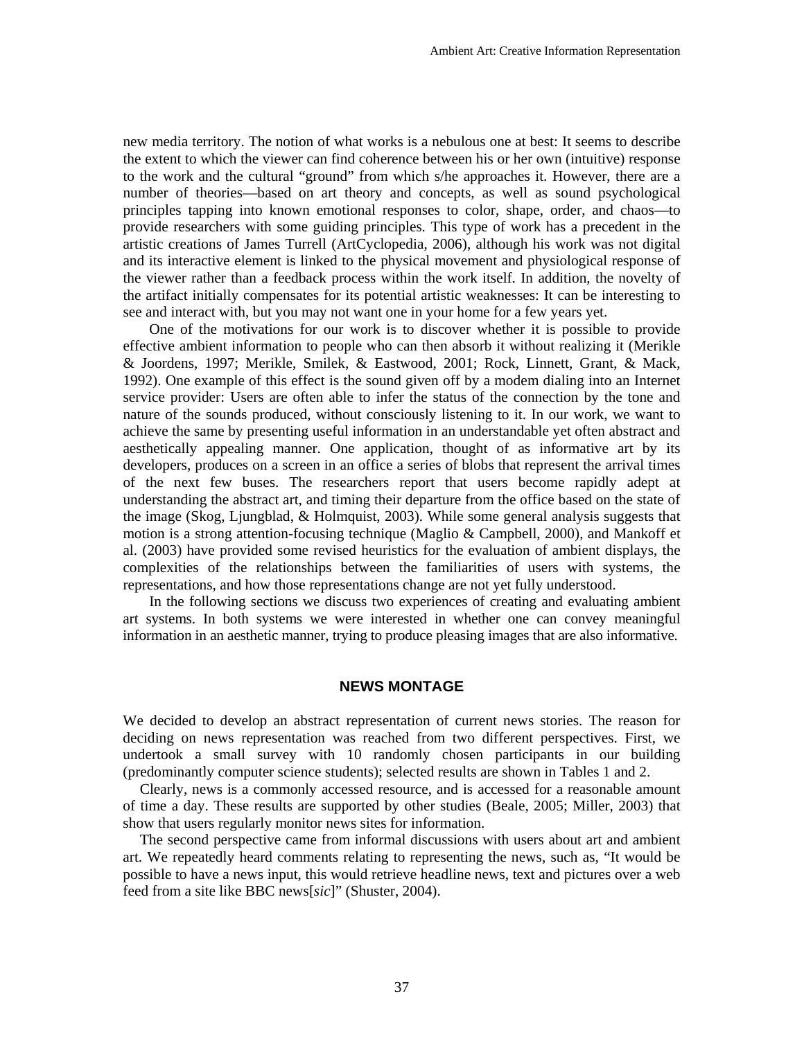new media territory. The notion of what works is a nebulous one at best: It seems to describe the extent to which the viewer can find coherence between his or her own (intuitive) response to the work and the cultural "ground" from which s/he approaches it. However, there are a number of theories—based on art theory and concepts, as well as sound psychological principles tapping into known emotional responses to color, shape, order, and chaos—to provide researchers with some guiding principles. This type of work has a precedent in the artistic creations of James Turrell (ArtCyclopedia, 2006), although his work was not digital and its interactive element is linked to the physical movement and physiological response of the viewer rather than a feedback process within the work itself. In addition, the novelty of the artifact initially compensates for its potential artistic weaknesses: It can be interesting to see and interact with, but you may not want one in your home for a few years yet.

One of the motivations for our work is to discover whether it is possible to provide effective ambient information to people who can then absorb it without realizing it (Merikle & Joordens, 1997; Merikle, Smilek, & Eastwood, 2001; Rock, Linnett, Grant, & Mack, 1992). One example of this effect is the sound given off by a modem dialing into an Internet service provider: Users are often able to infer the status of the connection by the tone and nature of the sounds produced, without consciously listening to it. In our work, we want to achieve the same by presenting useful information in an understandable yet often abstract and aesthetically appealing manner. One application, thought of as informative art by its developers, produces on a screen in an office a series of blobs that represent the arrival times of the next few buses. The researchers report that users become rapidly adept at understanding the abstract art, and timing their departure from the office based on the state of the image (Skog, Ljungblad, & Holmquist, 2003). While some general analysis suggests that motion is a strong attention-focusing technique (Maglio & Campbell, 2000), and Mankoff et al. (2003) have provided some revised heuristics for the evaluation of ambient displays, the complexities of the relationships between the familiarities of users with systems, the representations, and how those representations change are not yet fully understood.

In the following sections we discuss two experiences of creating and evaluating ambient art systems. In both systems we were interested in whether one can convey meaningful information in an aesthetic manner, trying to produce pleasing images that are also informative.

#### **NEWS MONTAGE**

We decided to develop an abstract representation of current news stories. The reason for deciding on news representation was reached from two different perspectives. First, we undertook a small survey with 10 randomly chosen participants in our building (predominantly computer science students); selected results are shown in Tables 1 and 2.

Clearly, news is a commonly accessed resource, and is accessed for a reasonable amount of time a day. These results are supported by other studies (Beale, 2005; Miller, 2003) that show that users regularly monitor news sites for information.

The second perspective came from informal discussions with users about art and ambient art. We repeatedly heard comments relating to representing the news, such as, "It would be possible to have a news input, this would retrieve headline news, text and pictures over a web feed from a site like BBC news[*sic*]" (Shuster, 2004).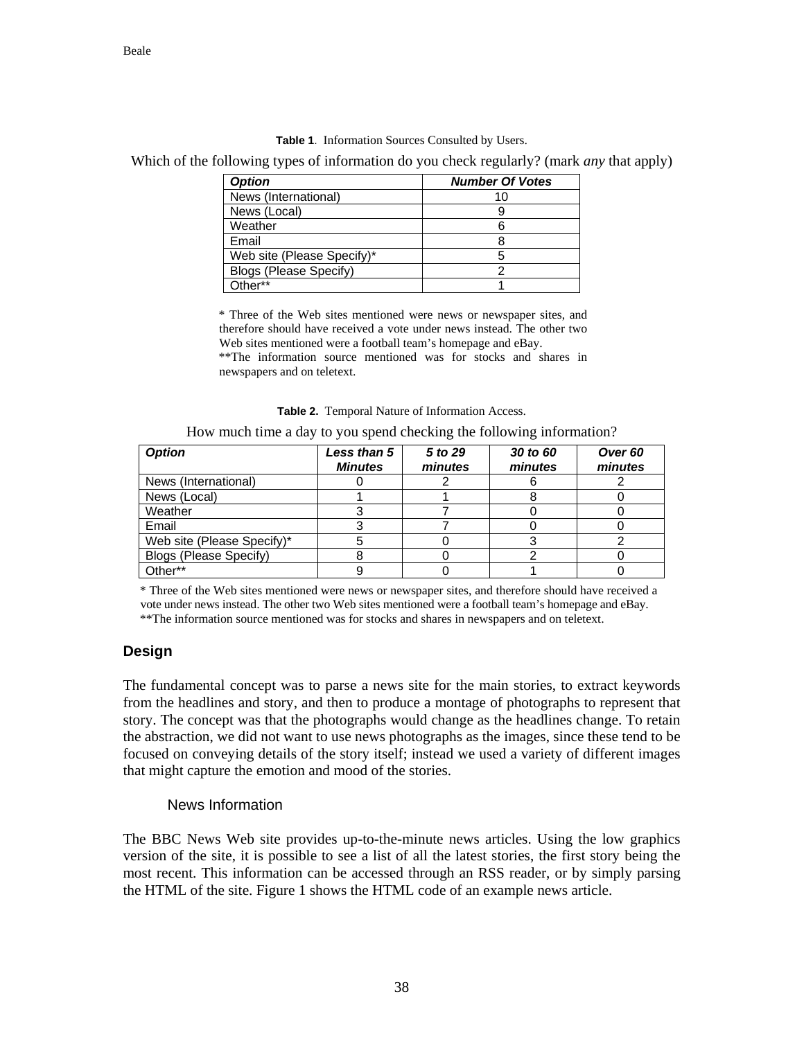|  | <b>Table 1.</b> Information Sources Consulted by Users. |  |  |  |
|--|---------------------------------------------------------|--|--|--|
|--|---------------------------------------------------------|--|--|--|

Which of the following types of information do you check regularly? (mark *any* that apply)

| <b>Option</b>              | <b>Number Of Votes</b> |  |  |
|----------------------------|------------------------|--|--|
| News (International)       | 10                     |  |  |
| News (Local)               |                        |  |  |
| Weather                    |                        |  |  |
| Email                      |                        |  |  |
| Web site (Please Specify)* |                        |  |  |
| Blogs (Please Specify)     |                        |  |  |
| ∩ther**                    |                        |  |  |

\* Three of the Web sites mentioned were news or newspaper sites, and therefore should have received a vote under news instead. The other two Web sites mentioned were a football team's homepage and eBay. \*\*The information source mentioned was for stocks and shares in newspapers and on teletext.

**Table 2.** Temporal Nature of Information Access.

How much time a day to you spend checking the following information?

| <b>Option</b>              | <b>Less than 5</b><br><b>Minutes</b> | 5 to 29<br>minutes | 30 to 60<br>minutes | Over <sub>60</sub><br>minutes |
|----------------------------|--------------------------------------|--------------------|---------------------|-------------------------------|
| News (International)       |                                      |                    |                     |                               |
| News (Local)               |                                      |                    |                     |                               |
| Weather                    |                                      |                    |                     |                               |
| Email                      |                                      |                    |                     |                               |
| Web site (Please Specify)* |                                      |                    |                     |                               |
| Blogs (Please Specify)     |                                      |                    |                     |                               |
| Other**                    |                                      |                    |                     |                               |

\* Three of the Web sites mentioned were news or newspaper sites, and therefore should have received a vote under news instead. The other two Web sites mentioned were a football team's homepage and eBay.

\*\*The information source mentioned was for stocks and shares in newspapers and on teletext.

# **Design**

The fundamental concept was to parse a news site for the main stories, to extract keywords from the headlines and story, and then to produce a montage of photographs to represent that story. The concept was that the photographs would change as the headlines change. To retain the abstraction, we did not want to use news photographs as the images, since these tend to be focused on conveying details of the story itself; instead we used a variety of different images that might capture the emotion and mood of the stories.

# News Information

The BBC News Web site provides up-to-the-minute news articles. Using the low graphics version of the site, it is possible to see a list of all the latest stories, the first story being the most recent. This information can be accessed through an RSS reader, or by simply parsing the HTML of the site. Figure 1 shows the HTML code of an example news article.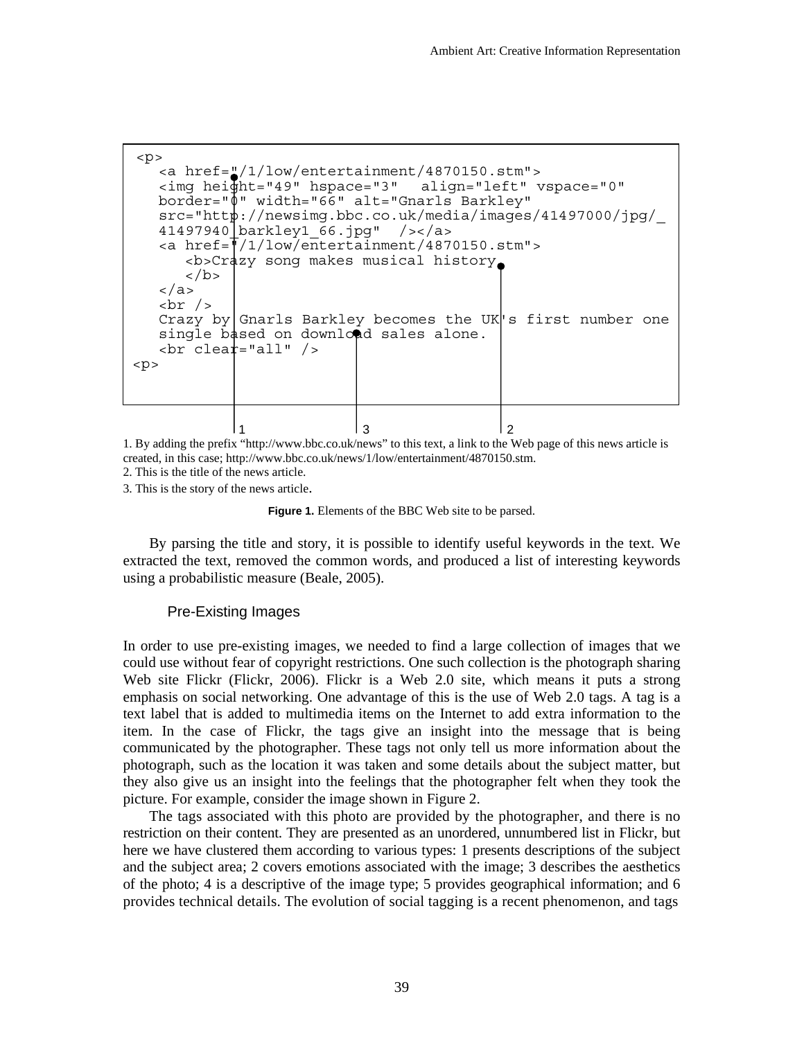```
 1 3 2 
 < p > <a href="/1/low/entertainment/4870150.stm"> 
   <img height="49" hspace="3" align="left" vspace="0" 
   border="0" width="66" alt="Gnarls Barkley" 
   src="http://newsimg.bbc.co.uk/media/images/41497000/jpg/_
   41497940_barkley1_66.jpg" /></a> 
    <a href="/1/low/entertainment/4870150.stm"> 
        <b>Crazy song makes musical history 
       \langleb>
    </a> 
   \text{br} />
   Crazy by Gnarls Barkley becomes the UK<sup>'</sup>s first number one
   single based on download sales alone.
   \text{chr} clear="all" />
< p >
```
1. By adding the prefix "http://www.bbc.co.uk/news" to this text, a link to the Web page of this news article is created, in this case; http://www.bbc.co.uk/news/1/low/entertainment/4870150.stm.

2. This is the title of the news article.

3. This is the story of the news article.

Figure 1. Elements of the BBC Web site to be parsed.

By parsing the title and story, it is possible to identify useful keywords in the text. We extracted the text, removed the common words, and produced a list of interesting keywords using a probabilistic measure (Beale, 2005).

#### Pre-Existing Images

In order to use pre-existing images, we needed to find a large collection of images that we could use without fear of copyright restrictions. One such collection is the photograph sharing Web site Flickr (Flickr, 2006). Flickr is a Web 2.0 site, which means it puts a strong emphasis on social networking. One advantage of this is the use of Web 2.0 tags. A tag is a text label that is added to multimedia items on the Internet to add extra information to the item. In the case of Flickr, the tags give an insight into the message that is being communicated by the photographer. These tags not only tell us more information about the photograph, such as the location it was taken and some details about the subject matter, but they also give us an insight into the feelings that the photographer felt when they took the picture. For example, consider the image shown in Figure 2.

 The tags associated with this photo are provided by the photographer, and there is no restriction on their content. They are presented as an unordered, unnumbered list in Flickr, but here we have clustered them according to various types: 1 presents descriptions of the subject and the subject area; 2 covers emotions associated with the image; 3 describes the aesthetics of the photo; 4 is a descriptive of the image type; 5 provides geographical information; and 6 provides technical details. The evolution of social tagging is a recent phenomenon, and tags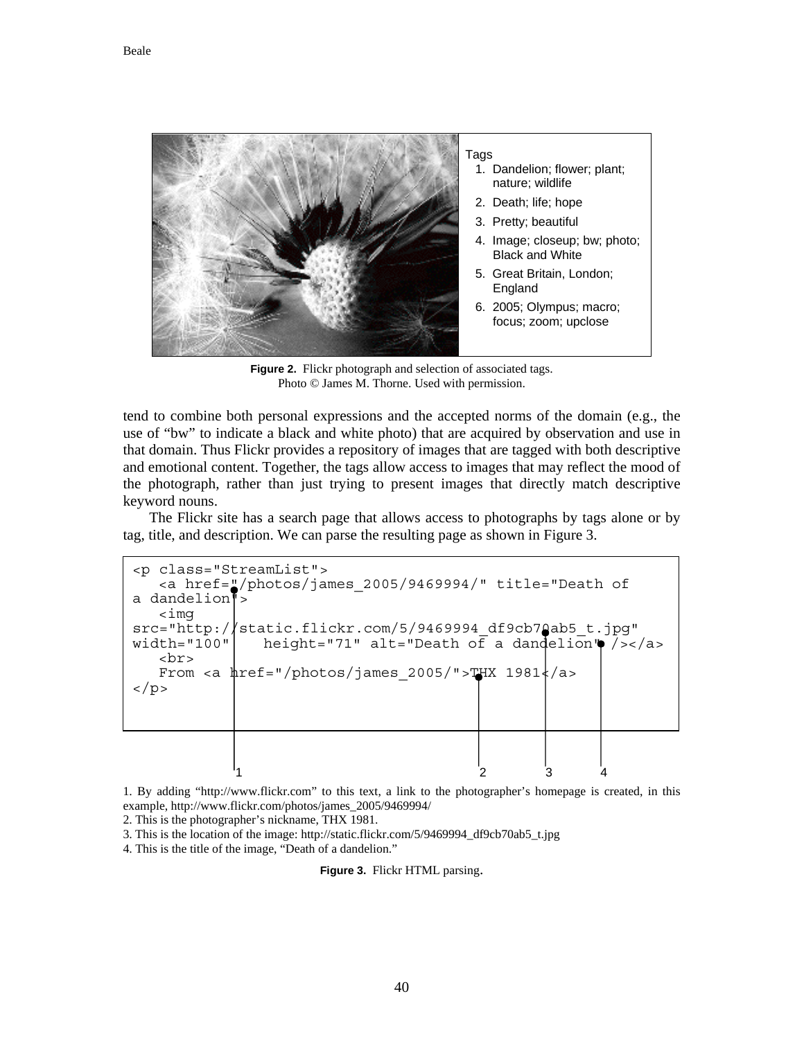

**Figure 2.** Flickr photograph and selection of associated tags. Photo © James M. Thorne. Used with permission.

tend to combine both personal expressions and the accepted norms of the domain (e.g., the use of "bw" to indicate a black and white photo) that are acquired by observation and use in that domain. Thus Flickr provides a repository of images that are tagged with both descriptive and emotional content. Together, the tags allow access to images that may reflect the mood of the photograph, rather than just trying to present images that directly match descriptive keyword nouns.

The Flickr site has a search page that allows access to photographs by tags alone or by tag, title, and description. We can parse the resulting page as shown in Figure 3.

 $1$  2 3 4 <p class="StreamList"> <a href="/photos/james\_2005/9469994/" title="Death of a dandelion"> <img src="http://static.flickr.com/5/9469994\_df9cb70ab5\_t.jpg"<br>width="100" height="71" alt="Death of a dandelion" />< height="71" alt="Death of a dandelion" /></a> <br> From <a  $\frac{1}{2}$  ="/photos/james 2005/">THX 1981 $\frac{1}{2}$ /a>  $\langle$ /p>

1. By adding "http://www.flickr.com" to this text, a link to the photographer's homepage is created, in this example, http://www.flickr.com/photos/james\_2005/9469994/

2. This is the photographer's nickname, THX 1981.

3. This is the location of the image: http://static.flickr.com/5/9469994\_df9cb70ab5\_t.jpg

4. This is the title of the image, "Death of a dandelion."

**Figure 3.** Flickr HTML parsing.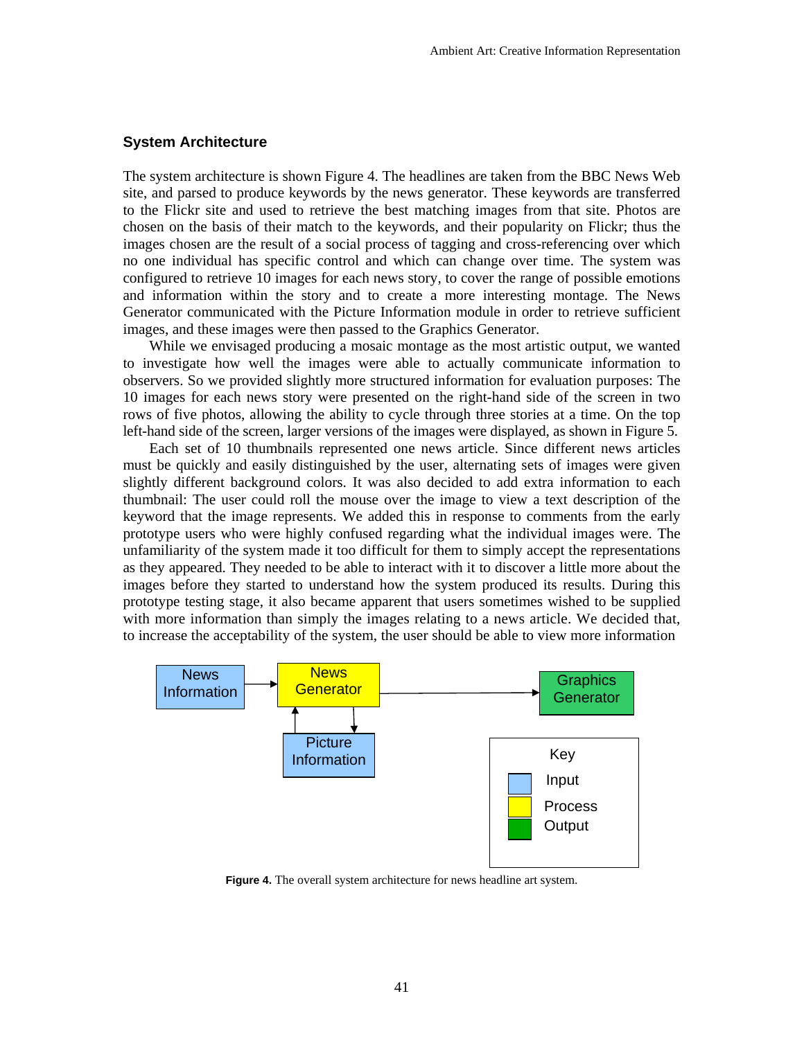## **System Architecture**

The system architecture is shown Figure 4. The headlines are taken from the BBC News Web site, and parsed to produce keywords by the news generator. These keywords are transferred to the Flickr site and used to retrieve the best matching images from that site. Photos are chosen on the basis of their match to the keywords, and their popularity on Flickr; thus the images chosen are the result of a social process of tagging and cross-referencing over which no one individual has specific control and which can change over time. The system was configured to retrieve 10 images for each news story, to cover the range of possible emotions and information within the story and to create a more interesting montage. The News Generator communicated with the Picture Information module in order to retrieve sufficient images, and these images were then passed to the Graphics Generator.

While we envisaged producing a mosaic montage as the most artistic output, we wanted to investigate how well the images were able to actually communicate information to observers. So we provided slightly more structured information for evaluation purposes: The 10 images for each news story were presented on the right-hand side of the screen in two rows of five photos, allowing the ability to cycle through three stories at a time. On the top left-hand side of the screen, larger versions of the images were displayed, as shown in Figure 5.

Each set of 10 thumbnails represented one news article. Since different news articles must be quickly and easily distinguished by the user, alternating sets of images were given slightly different background colors. It was also decided to add extra information to each thumbnail: The user could roll the mouse over the image to view a text description of the keyword that the image represents. We added this in response to comments from the early prototype users who were highly confused regarding what the individual images were. The unfamiliarity of the system made it too difficult for them to simply accept the representations as they appeared. They needed to be able to interact with it to discover a little more about the images before they started to understand how the system produced its results. During this prototype testing stage, it also became apparent that users sometimes wished to be supplied with more information than simply the images relating to a news article. We decided that, to increase the acceptability of the system, the user should be able to view more information



**Figure 4.** The overall system architecture for news headline art system.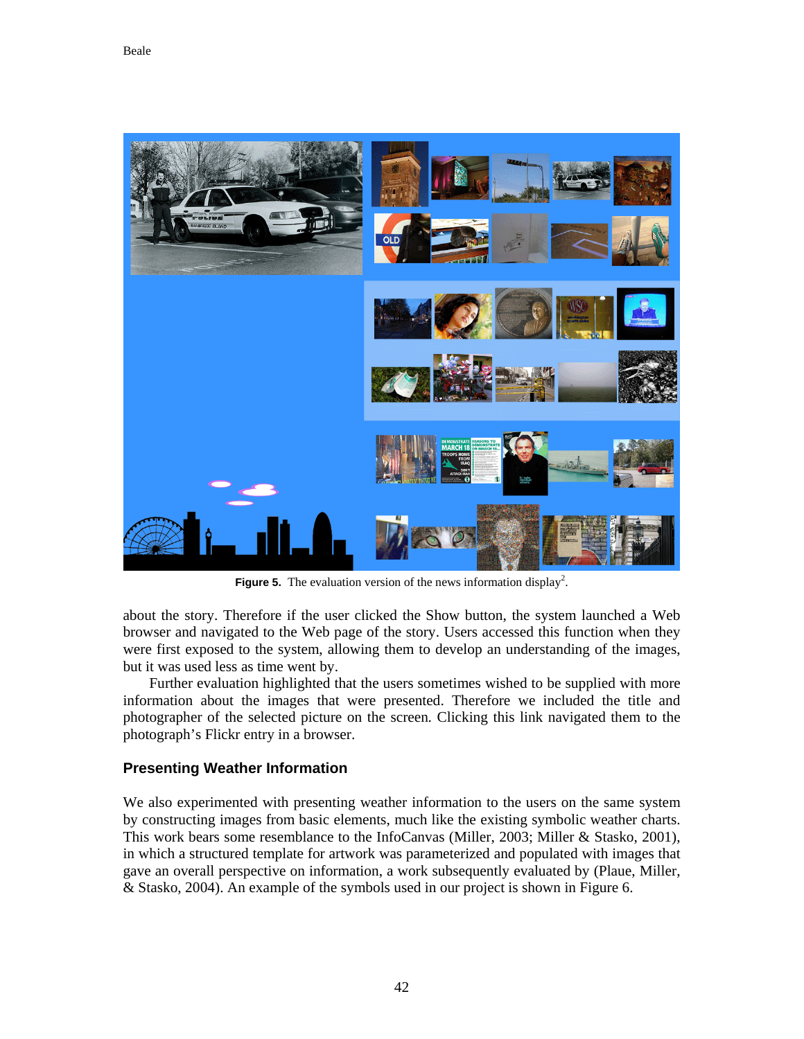

**Figure 5.** The evaluation version of the news information display<sup>2</sup>.

about the story. Therefore if the user clicked the Show button, the system launched a Web browser and navigated to the Web page of the story. Users accessed this function when they were first exposed to the system, allowing them to develop an understanding of the images, but it was used less as time went by.

Further evaluation highlighted that the users sometimes wished to be supplied with more information about the images that were presented. Therefore we included the title and photographer of the selected picture on the screen. Clicking this link navigated them to the photograph's Flickr entry in a browser.

# **Presenting Weather Information**

We also experimented with presenting weather information to the users on the same system by constructing images from basic elements, much like the existing symbolic weather charts. This work bears some resemblance to the InfoCanvas (Miller, 2003; Miller & Stasko, 2001), in which a structured template for artwork was parameterized and populated with images that gave an overall perspective on information, a work subsequently evaluated by (Plaue, Miller, & Stasko, 2004). An example of the symbols used in our project is shown in Figure 6.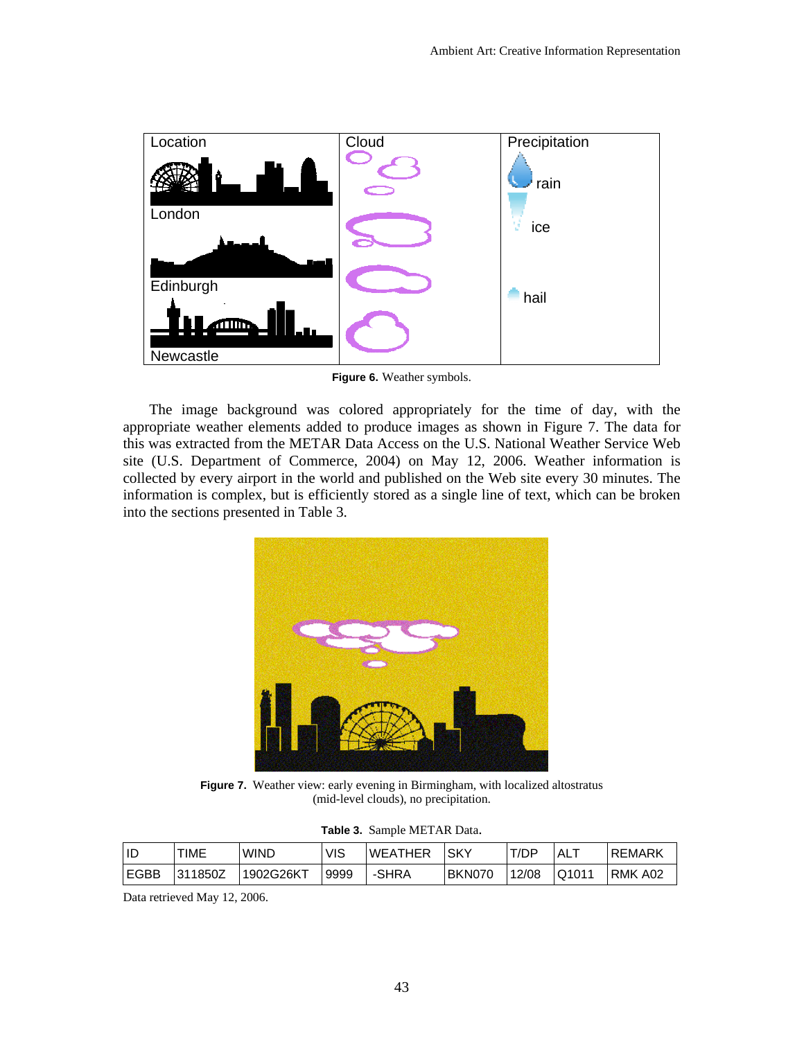

**Figure 6.** Weather symbols.

The image background was colored appropriately for the time of day, with the appropriate weather elements added to produce images as shown in Figure 7. The data for this was extracted from the METAR Data Access on the U.S. National Weather Service Web site (U.S. Department of Commerce, 2004) on May 12, 2006. Weather information is collected by every airport in the world and published on the Web site every 30 minutes. The information is complex, but is efficiently stored as a single line of text, which can be broken into the sections presented in Table 3.



**Figure 7.** Weather view: early evening in Birmingham, with localized altostratus (mid-level clouds), no precipitation.

| Table 3. Sample METAR Data. |
|-----------------------------|
|-----------------------------|

| ID          | TIME    | <b>WIND</b> | VIS  | WEATHER | <b>SKY</b>    | T/DP  | AL.   | <b>REMARK</b> |
|-------------|---------|-------------|------|---------|---------------|-------|-------|---------------|
| <b>EGBB</b> | 311850Z | 1902G26KT   | 9999 | -SHRA   | <b>BKN070</b> | 12/08 | Q1011 | RMK A02       |

Data retrieved May 12, 2006.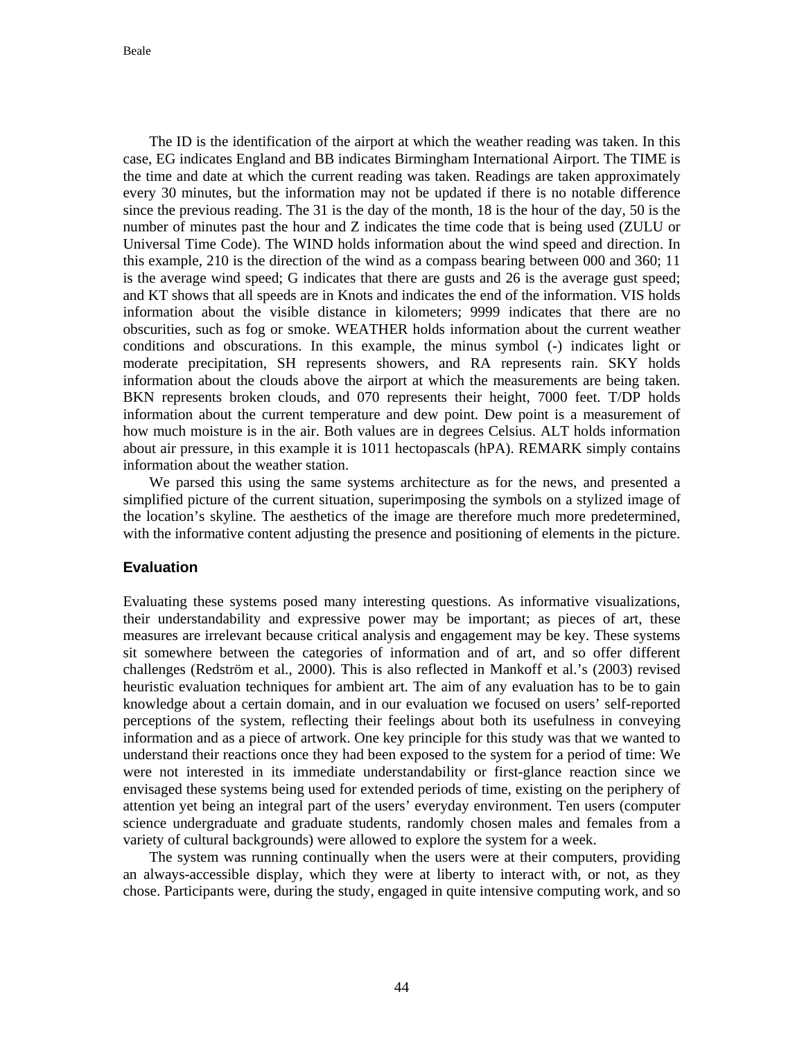The ID is the identification of the airport at which the weather reading was taken. In this case, EG indicates England and BB indicates Birmingham International Airport. The TIME is the time and date at which the current reading was taken. Readings are taken approximately every 30 minutes, but the information may not be updated if there is no notable difference since the previous reading. The 31 is the day of the month, 18 is the hour of the day, 50 is the number of minutes past the hour and Z indicates the time code that is being used (ZULU or Universal Time Code). The WIND holds information about the wind speed and direction. In this example, 210 is the direction of the wind as a compass bearing between 000 and 360; 11 is the average wind speed; G indicates that there are gusts and 26 is the average gust speed; and KT shows that all speeds are in Knots and indicates the end of the information. VIS holds information about the visible distance in kilometers; 9999 indicates that there are no obscurities, such as fog or smoke. WEATHER holds information about the current weather conditions and obscurations. In this example, the minus symbol (-) indicates light or moderate precipitation, SH represents showers, and RA represents rain. SKY holds information about the clouds above the airport at which the measurements are being taken. BKN represents broken clouds, and 070 represents their height, 7000 feet. T/DP holds information about the current temperature and dew point. Dew point is a measurement of how much moisture is in the air. Both values are in degrees Celsius. ALT holds information about air pressure, in this example it is 1011 hectopascals (hPA). REMARK simply contains information about the weather station.

We parsed this using the same systems architecture as for the news, and presented a simplified picture of the current situation, superimposing the symbols on a stylized image of the location's skyline. The aesthetics of the image are therefore much more predetermined, with the informative content adjusting the presence and positioning of elements in the picture.

## **Evaluation**

Evaluating these systems posed many interesting questions. As informative visualizations, their understandability and expressive power may be important; as pieces of art, these measures are irrelevant because critical analysis and engagement may be key. These systems sit somewhere between the categories of information and of art, and so offer different challenges (Redström et al., 2000). This is also reflected in Mankoff et al.'s (2003) revised heuristic evaluation techniques for ambient art. The aim of any evaluation has to be to gain knowledge about a certain domain, and in our evaluation we focused on users' self-reported perceptions of the system, reflecting their feelings about both its usefulness in conveying information and as a piece of artwork. One key principle for this study was that we wanted to understand their reactions once they had been exposed to the system for a period of time: We were not interested in its immediate understandability or first-glance reaction since we envisaged these systems being used for extended periods of time, existing on the periphery of attention yet being an integral part of the users' everyday environment. Ten users (computer science undergraduate and graduate students, randomly chosen males and females from a variety of cultural backgrounds) were allowed to explore the system for a week.

The system was running continually when the users were at their computers, providing an always-accessible display, which they were at liberty to interact with, or not, as they chose. Participants were, during the study, engaged in quite intensive computing work, and so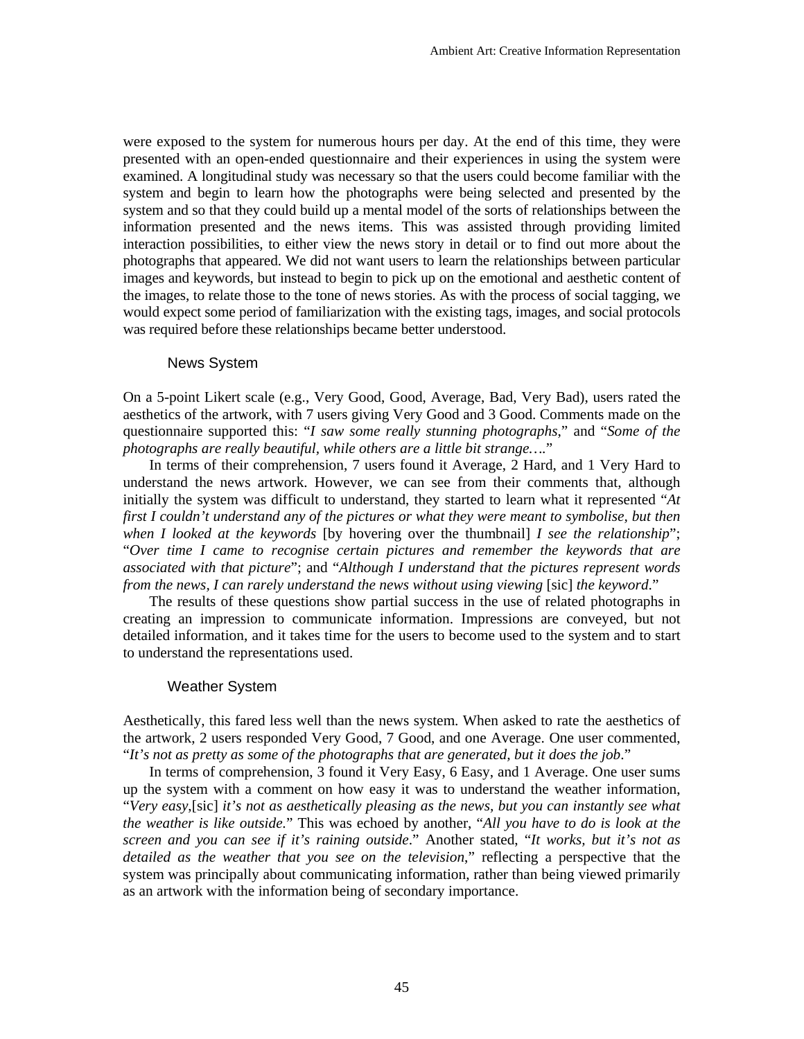were exposed to the system for numerous hours per day. At the end of this time, they were presented with an open-ended questionnaire and their experiences in using the system were examined. A longitudinal study was necessary so that the users could become familiar with the system and begin to learn how the photographs were being selected and presented by the system and so that they could build up a mental model of the sorts of relationships between the information presented and the news items. This was assisted through providing limited interaction possibilities, to either view the news story in detail or to find out more about the photographs that appeared. We did not want users to learn the relationships between particular images and keywords, but instead to begin to pick up on the emotional and aesthetic content of the images, to relate those to the tone of news stories. As with the process of social tagging, we would expect some period of familiarization with the existing tags, images, and social protocols was required before these relationships became better understood.

#### News System

On a 5-point Likert scale (e.g., Very Good, Good, Average, Bad, Very Bad), users rated the aesthetics of the artwork, with 7 users giving Very Good and 3 Good. Comments made on the questionnaire supported this: "*I saw some really stunning photographs*," and "*Some of the photographs are really beautiful, while others are a little bit strange….*"

 In terms of their comprehension, 7 users found it Average, 2 Hard, and 1 Very Hard to understand the news artwork. However, we can see from their comments that, although initially the system was difficult to understand, they started to learn what it represented "*At first I couldn't understand any of the pictures or what they were meant to symbolise, but then when I looked at the keywords* [by hovering over the thumbnail] *I see the relationship*"; "*Over time I came to recognise certain pictures and remember the keywords that are associated with that picture*"; and "*Although I understand that the pictures represent words from the news, I can rarely understand the news without using viewing [sic] the keyword.*"

The results of these questions show partial success in the use of related photographs in creating an impression to communicate information. Impressions are conveyed, but not detailed information, and it takes time for the users to become used to the system and to start to understand the representations used.

## Weather System

Aesthetically, this fared less well than the news system. When asked to rate the aesthetics of the artwork, 2 users responded Very Good, 7 Good, and one Average. One user commented, "*It's not as pretty as some of the photographs that are generated, but it does the job*."

 In terms of comprehension, 3 found it Very Easy, 6 Easy, and 1 Average. One user sums up the system with a comment on how easy it was to understand the weather information, "*Very easy*,[sic] *it's not as aesthetically pleasing as the news, but you can instantly see what the weather is like outside.*" This was echoed by another, "*All you have to do is look at the screen and you can see if it's raining outside*." Another stated, "*It works, but it's not as detailed as the weather that you see on the television*," reflecting a perspective that the system was principally about communicating information, rather than being viewed primarily as an artwork with the information being of secondary importance.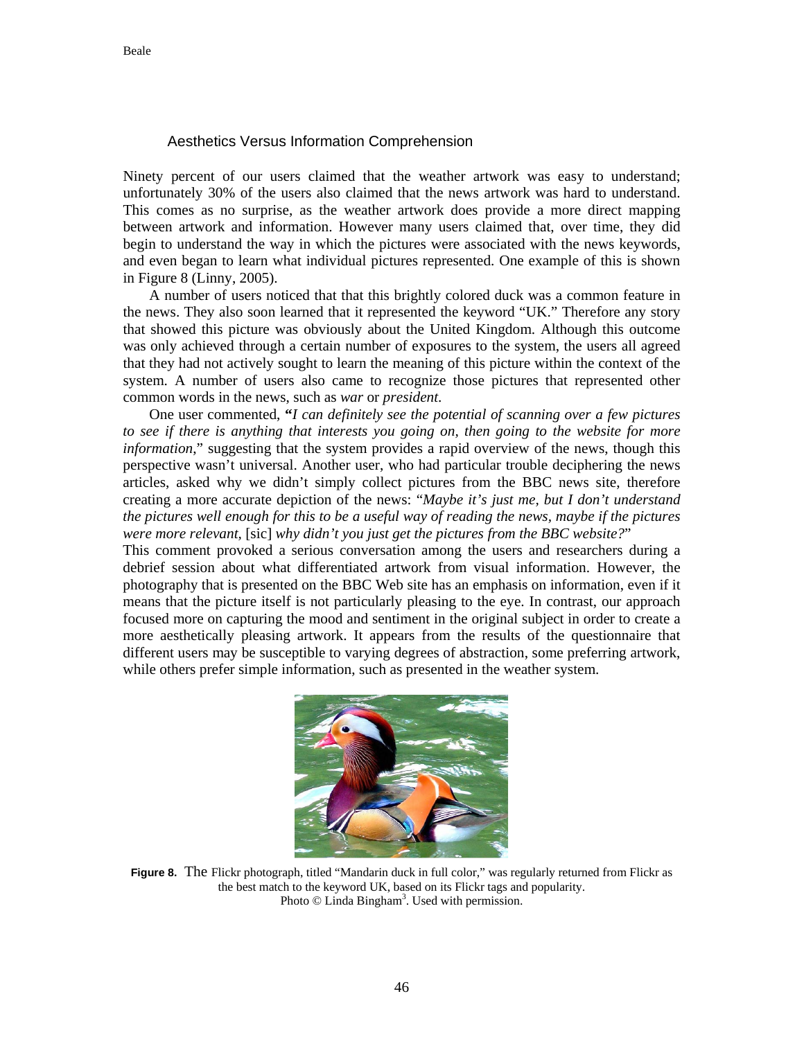# Aesthetics Versus Information Comprehension

Ninety percent of our users claimed that the weather artwork was easy to understand; unfortunately 30% of the users also claimed that the news artwork was hard to understand. This comes as no surprise, as the weather artwork does provide a more direct mapping between artwork and information. However many users claimed that, over time, they did begin to understand the way in which the pictures were associated with the news keywords, and even began to learn what individual pictures represented. One example of this is shown in Figure 8 (Linny, 2005).

A number of users noticed that that this brightly colored duck was a common feature in the news. They also soon learned that it represented the keyword "UK." Therefore any story that showed this picture was obviously about the United Kingdom. Although this outcome was only achieved through a certain number of exposures to the system, the users all agreed that they had not actively sought to learn the meaning of this picture within the context of the system. A number of users also came to recognize those pictures that represented other common words in the news, such as *war* or *president*.

 One user commented, **"***I can definitely see the potential of scanning over a few pictures to see if there is anything that interests you going on, then going to the website for more information*," suggesting that the system provides a rapid overview of the news, though this perspective wasn't universal. Another user, who had particular trouble deciphering the news articles, asked why we didn't simply collect pictures from the BBC news site, therefore creating a more accurate depiction of the news: "*Maybe it's just me, but I don't understand the pictures well enough for this to be a useful way of reading the news, maybe if the pictures were more relevant,* [sic] *why didn't you just get the pictures from the BBC website?*"

This comment provoked a serious conversation among the users and researchers during a debrief session about what differentiated artwork from visual information. However, the photography that is presented on the BBC Web site has an emphasis on information, even if it means that the picture itself is not particularly pleasing to the eye. In contrast, our approach focused more on capturing the mood and sentiment in the original subject in order to create a more aesthetically pleasing artwork. It appears from the results of the questionnaire that different users may be susceptible to varying degrees of abstraction, some preferring artwork, while others prefer simple information, such as presented in the weather system.



**Figure 8.** The Flickr photograph, titled "Mandarin duck in full color," was regularly returned from Flickr as the best match to the keyword UK, based on its Flickr tags and popularity. Photo  $\odot$  Linda Bingham<sup>3</sup>. Used with permission.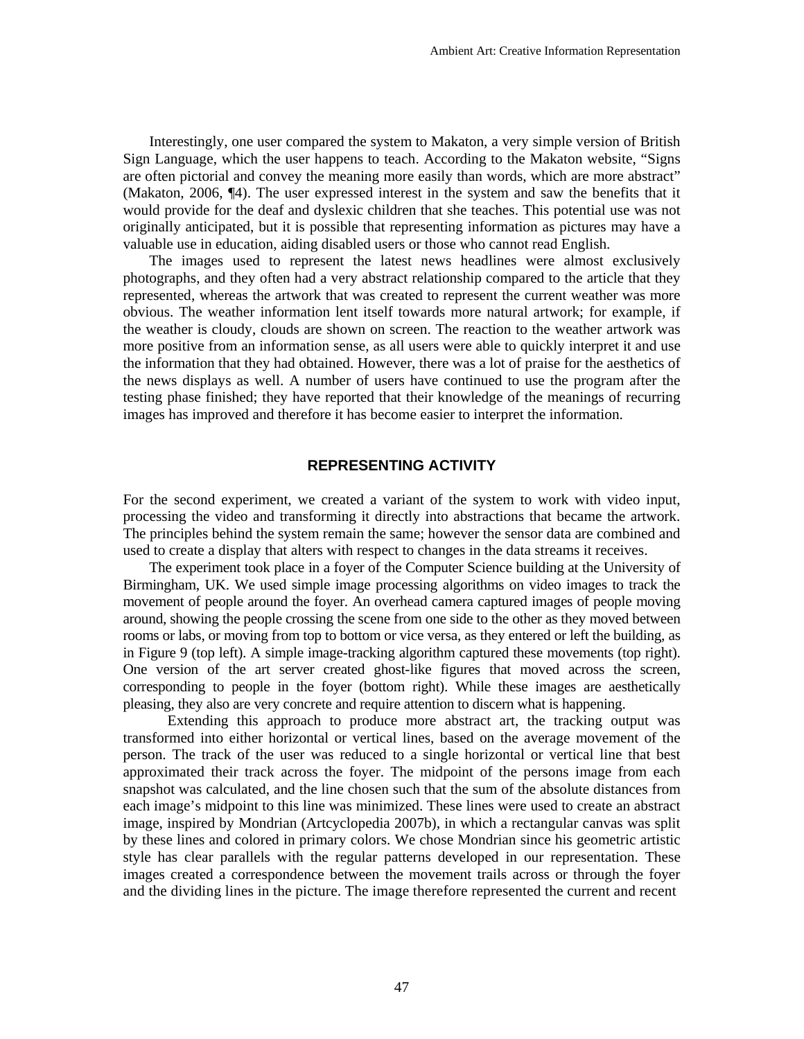Interestingly, one user compared the system to Makaton, a very simple version of British Sign Language, which the user happens to teach. According to the Makaton website, "Signs are often pictorial and convey the meaning more easily than words, which are more abstract" (Makaton, 2006, ¶4). The user expressed interest in the system and saw the benefits that it would provide for the deaf and dyslexic children that she teaches. This potential use was not originally anticipated, but it is possible that representing information as pictures may have a valuable use in education, aiding disabled users or those who cannot read English.

The images used to represent the latest news headlines were almost exclusively photographs, and they often had a very abstract relationship compared to the article that they represented, whereas the artwork that was created to represent the current weather was more obvious. The weather information lent itself towards more natural artwork; for example, if the weather is cloudy, clouds are shown on screen. The reaction to the weather artwork was more positive from an information sense, as all users were able to quickly interpret it and use the information that they had obtained. However, there was a lot of praise for the aesthetics of the news displays as well. A number of users have continued to use the program after the testing phase finished; they have reported that their knowledge of the meanings of recurring images has improved and therefore it has become easier to interpret the information.

## **REPRESENTING ACTIVITY**

For the second experiment, we created a variant of the system to work with video input, processing the video and transforming it directly into abstractions that became the artwork. The principles behind the system remain the same; however the sensor data are combined and used to create a display that alters with respect to changes in the data streams it receives.

The experiment took place in a foyer of the Computer Science building at the University of Birmingham, UK. We used simple image processing algorithms on video images to track the movement of people around the foyer. An overhead camera captured images of people moving around, showing the people crossing the scene from one side to the other as they moved between rooms or labs, or moving from top to bottom or vice versa, as they entered or left the building, as in Figure 9 (top left). A simple image-tracking algorithm captured these movements (top right). One version of the art server created ghost-like figures that moved across the screen, corresponding to people in the foyer (bottom right). While these images are aesthetically pleasing, they also are very concrete and require attention to discern what is happening.

Extending this approach to produce more abstract art, the tracking output was transformed into either horizontal or vertical lines, based on the average movement of the person. The track of the user was reduced to a single horizontal or vertical line that best approximated their track across the foyer. The midpoint of the persons image from each snapshot was calculated, and the line chosen such that the sum of the absolute distances from each image's midpoint to this line was minimized. These lines were used to create an abstract image, inspired by Mondrian (Artcyclopedia 2007b), in which a rectangular canvas was split by these lines and colored in primary colors. We chose Mondrian since his geometric artistic style has clear parallels with the regular patterns developed in our representation. These images created a correspondence between the movement trails across or through the foyer and the dividing lines in the picture. The image therefore represented the current and recent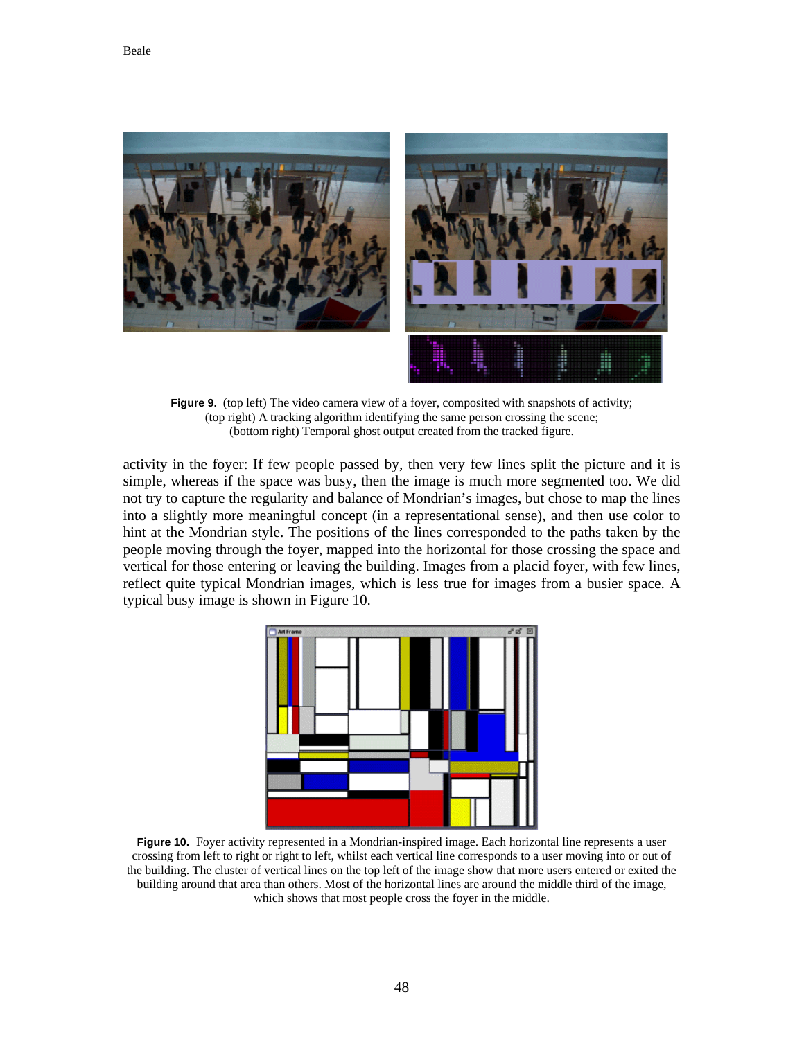

Figure 9. (top left) The video camera view of a foyer, composited with snapshots of activity; (top right) A tracking algorithm identifying the same person crossing the scene; (bottom right) Temporal ghost output created from the tracked figure.

activity in the foyer: If few people passed by, then very few lines split the picture and it is simple, whereas if the space was busy, then the image is much more segmented too. We did not try to capture the regularity and balance of Mondrian's images, but chose to map the lines into a slightly more meaningful concept (in a representational sense), and then use color to hint at the Mondrian style. The positions of the lines corresponded to the paths taken by the people moving through the foyer, mapped into the horizontal for those crossing the space and vertical for those entering or leaving the building. Images from a placid foyer, with few lines, reflect quite typical Mondrian images, which is less true for images from a busier space. A typical busy image is shown in Figure 10.



**Figure 10.** Foyer activity represented in a Mondrian-inspired image. Each horizontal line represents a user crossing from left to right or right to left, whilst each vertical line corresponds to a user moving into or out of the building. The cluster of vertical lines on the top left of the image show that more users entered or exited the building around that area than others. Most of the horizontal lines are around the middle third of the image, which shows that most people cross the foyer in the middle.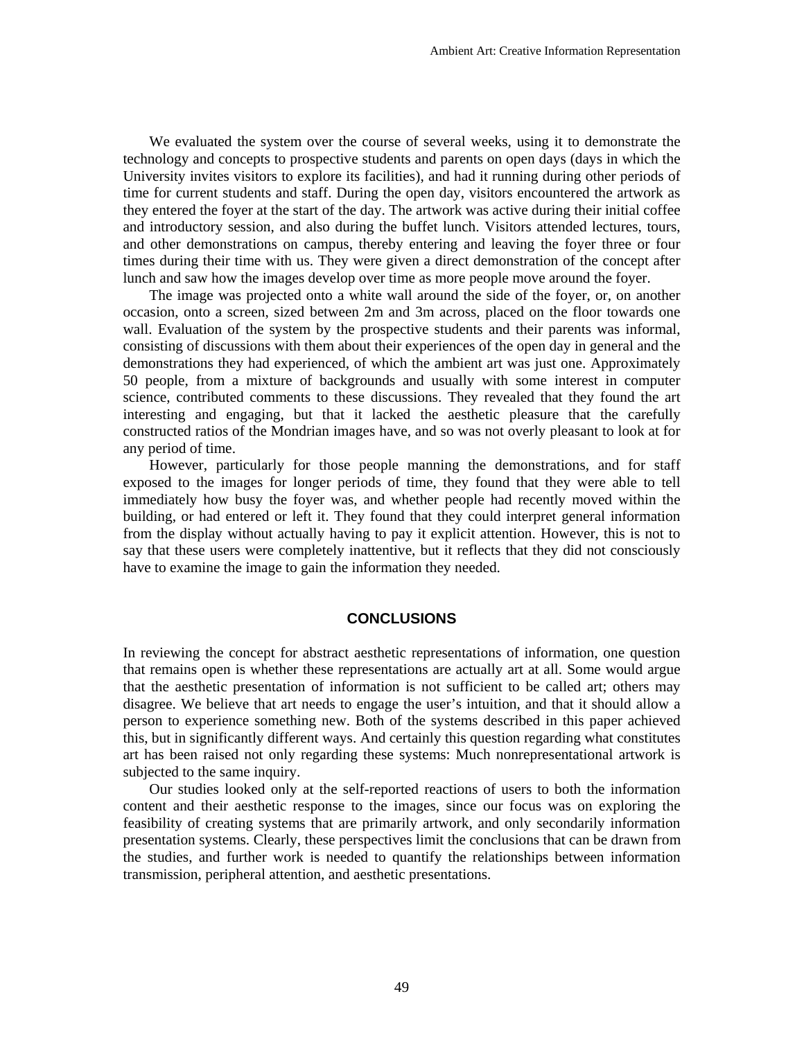We evaluated the system over the course of several weeks, using it to demonstrate the technology and concepts to prospective students and parents on open days (days in which the University invites visitors to explore its facilities), and had it running during other periods of time for current students and staff. During the open day, visitors encountered the artwork as they entered the foyer at the start of the day. The artwork was active during their initial coffee and introductory session, and also during the buffet lunch. Visitors attended lectures, tours, and other demonstrations on campus, thereby entering and leaving the foyer three or four times during their time with us. They were given a direct demonstration of the concept after lunch and saw how the images develop over time as more people move around the foyer.

The image was projected onto a white wall around the side of the foyer, or, on another occasion, onto a screen, sized between 2m and 3m across, placed on the floor towards one wall. Evaluation of the system by the prospective students and their parents was informal, consisting of discussions with them about their experiences of the open day in general and the demonstrations they had experienced, of which the ambient art was just one. Approximately 50 people, from a mixture of backgrounds and usually with some interest in computer science, contributed comments to these discussions. They revealed that they found the art interesting and engaging, but that it lacked the aesthetic pleasure that the carefully constructed ratios of the Mondrian images have, and so was not overly pleasant to look at for any period of time.

However, particularly for those people manning the demonstrations, and for staff exposed to the images for longer periods of time, they found that they were able to tell immediately how busy the foyer was, and whether people had recently moved within the building, or had entered or left it. They found that they could interpret general information from the display without actually having to pay it explicit attention. However, this is not to say that these users were completely inattentive, but it reflects that they did not consciously have to examine the image to gain the information they needed.

#### **CONCLUSIONS**

In reviewing the concept for abstract aesthetic representations of information, one question that remains open is whether these representations are actually art at all. Some would argue that the aesthetic presentation of information is not sufficient to be called art; others may disagree. We believe that art needs to engage the user's intuition, and that it should allow a person to experience something new. Both of the systems described in this paper achieved this, but in significantly different ways. And certainly this question regarding what constitutes art has been raised not only regarding these systems: Much nonrepresentational artwork is subjected to the same inquiry.

Our studies looked only at the self-reported reactions of users to both the information content and their aesthetic response to the images, since our focus was on exploring the feasibility of creating systems that are primarily artwork, and only secondarily information presentation systems. Clearly, these perspectives limit the conclusions that can be drawn from the studies, and further work is needed to quantify the relationships between information transmission, peripheral attention, and aesthetic presentations.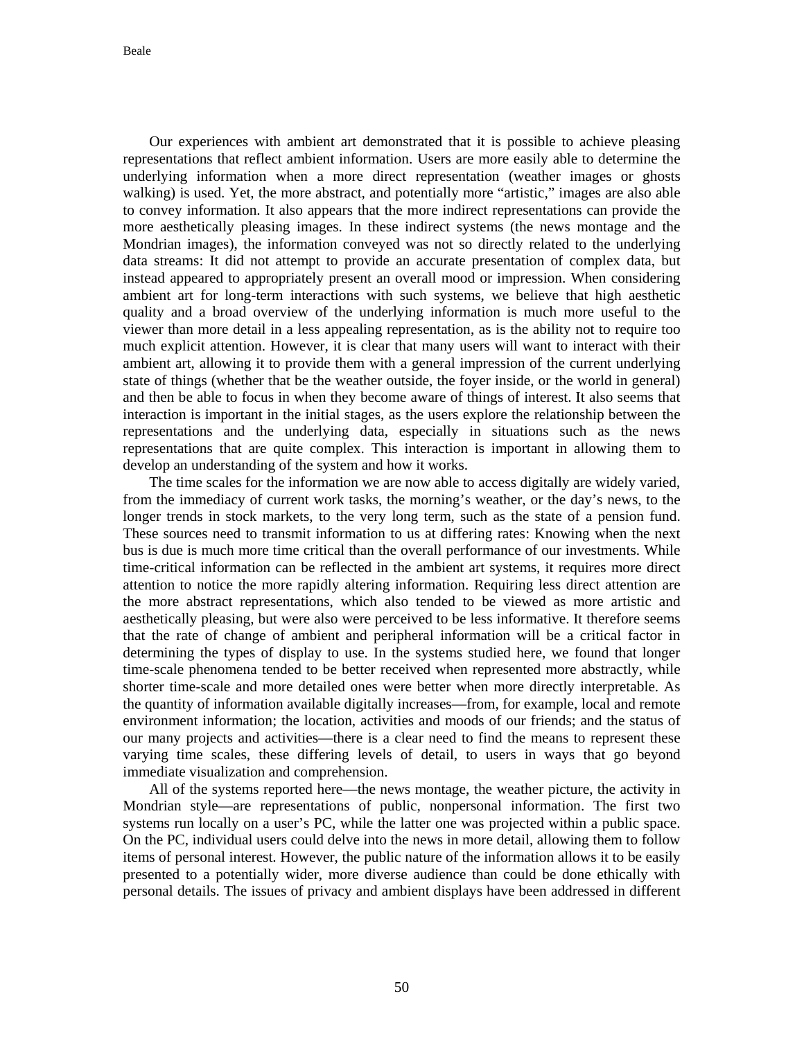Our experiences with ambient art demonstrated that it is possible to achieve pleasing representations that reflect ambient information. Users are more easily able to determine the underlying information when a more direct representation (weather images or ghosts walking) is used. Yet, the more abstract, and potentially more "artistic," images are also able to convey information. It also appears that the more indirect representations can provide the more aesthetically pleasing images. In these indirect systems (the news montage and the Mondrian images), the information conveyed was not so directly related to the underlying data streams: It did not attempt to provide an accurate presentation of complex data, but instead appeared to appropriately present an overall mood or impression. When considering ambient art for long-term interactions with such systems, we believe that high aesthetic quality and a broad overview of the underlying information is much more useful to the viewer than more detail in a less appealing representation, as is the ability not to require too much explicit attention. However, it is clear that many users will want to interact with their ambient art, allowing it to provide them with a general impression of the current underlying state of things (whether that be the weather outside, the foyer inside, or the world in general) and then be able to focus in when they become aware of things of interest. It also seems that interaction is important in the initial stages, as the users explore the relationship between the representations and the underlying data, especially in situations such as the news representations that are quite complex. This interaction is important in allowing them to develop an understanding of the system and how it works.

The time scales for the information we are now able to access digitally are widely varied, from the immediacy of current work tasks, the morning's weather, or the day's news, to the longer trends in stock markets, to the very long term, such as the state of a pension fund. These sources need to transmit information to us at differing rates: Knowing when the next bus is due is much more time critical than the overall performance of our investments. While time-critical information can be reflected in the ambient art systems, it requires more direct attention to notice the more rapidly altering information. Requiring less direct attention are the more abstract representations, which also tended to be viewed as more artistic and aesthetically pleasing, but were also were perceived to be less informative. It therefore seems that the rate of change of ambient and peripheral information will be a critical factor in determining the types of display to use. In the systems studied here, we found that longer time-scale phenomena tended to be better received when represented more abstractly, while shorter time-scale and more detailed ones were better when more directly interpretable. As the quantity of information available digitally increases—from, for example, local and remote environment information; the location, activities and moods of our friends; and the status of our many projects and activities—there is a clear need to find the means to represent these varying time scales, these differing levels of detail, to users in ways that go beyond immediate visualization and comprehension.

All of the systems reported here—the news montage, the weather picture, the activity in Mondrian style—are representations of public, nonpersonal information. The first two systems run locally on a user's PC, while the latter one was projected within a public space. On the PC, individual users could delve into the news in more detail, allowing them to follow items of personal interest. However, the public nature of the information allows it to be easily presented to a potentially wider, more diverse audience than could be done ethically with personal details. The issues of privacy and ambient displays have been addressed in different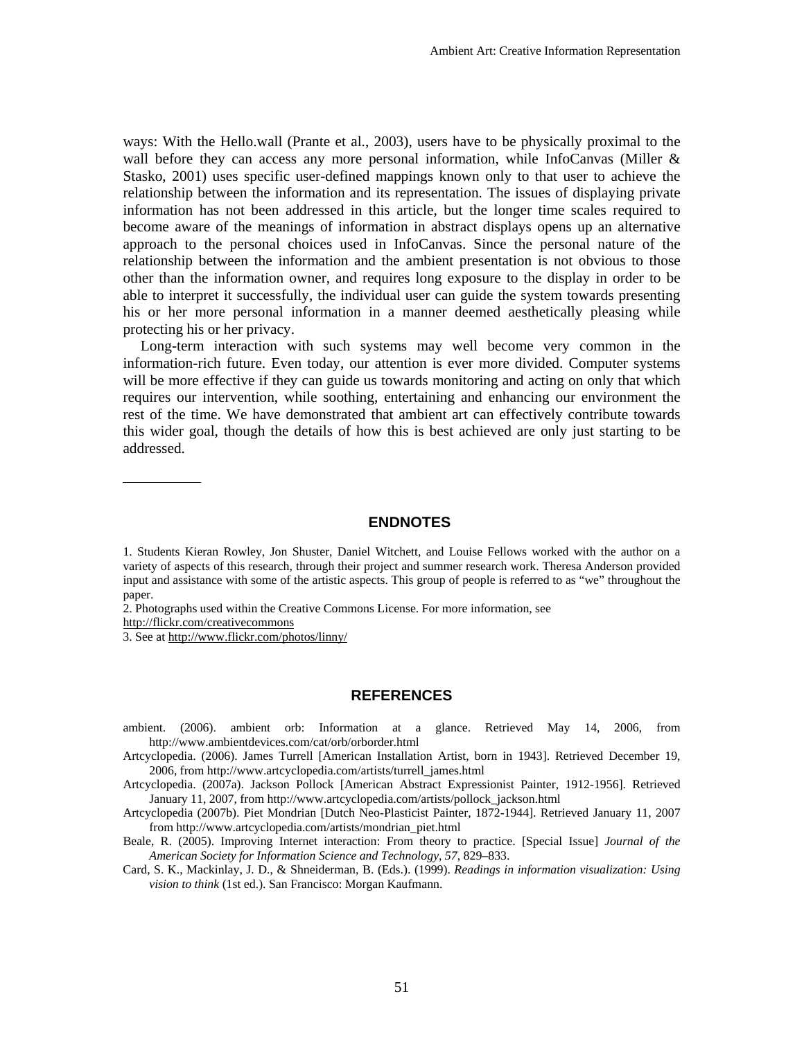ways: With the Hello.wall (Prante et al., 2003), users have to be physically proximal to the wall before they can access any more personal information, while InfoCanvas (Miller & Stasko, 2001) uses specific user-defined mappings known only to that user to achieve the relationship between the information and its representation. The issues of displaying private information has not been addressed in this article, but the longer time scales required to become aware of the meanings of information in abstract displays opens up an alternative approach to the personal choices used in InfoCanvas. Since the personal nature of the relationship between the information and the ambient presentation is not obvious to those other than the information owner, and requires long exposure to the display in order to be able to interpret it successfully, the individual user can guide the system towards presenting his or her more personal information in a manner deemed aesthetically pleasing while protecting his or her privacy.

Long-term interaction with such systems may well become very common in the information-rich future. Even today, our attention is ever more divided. Computer systems will be more effective if they can guide us towards monitoring and acting on only that which requires our intervention, while soothing, entertaining and enhancing our environment the rest of the time. We have demonstrated that ambient art can effectively contribute towards this wider goal, though the details of how this is best achieved are only just starting to be addressed.

## **ENDNOTES**

2. Photographs used within the Creative Commons License. For more information, see

http://flickr.com/creativecommons

3. See at http://www.flickr.com/photos/linny/

#### **REFERENCES**

- ambient. (2006). ambient orb: Information at a glance. Retrieved May 14, 2006, from http://www.ambientdevices.com/cat/orb/orborder.html
- Artcyclopedia. (2006). James Turrell [American Installation Artist, born in 1943]. Retrieved December 19, 2006, from http://www.artcyclopedia.com/artists/turrell\_james.html
- Artcyclopedia. (2007a). Jackson Pollock [American Abstract Expressionist Painter, 1912-1956]. Retrieved January 11, 2007, from http://www.artcyclopedia.com/artists/pollock\_jackson.html
- Artcyclopedia (2007b). Piet Mondrian [Dutch Neo-Plasticist Painter, 1872-1944]. Retrieved January 11, 2007 from http://www.artcyclopedia.com/artists/mondrian\_piet.html
- Beale, R. (2005). Improving Internet interaction: From theory to practice. [Special Issue] *Journal of the American Society for Information Science and Technology, 57*, 829–833.

Card, S. K., Mackinlay, J. D., & Shneiderman, B. (Eds.). (1999). *Readings in information visualization: Using vision to think* (1st ed.). San Francisco: Morgan Kaufmann.

<sup>1.</sup> Students Kieran Rowley, Jon Shuster, Daniel Witchett, and Louise Fellows worked with the author on a variety of aspects of this research, through their project and summer research work. Theresa Anderson provided input and assistance with some of the artistic aspects. This group of people is referred to as "we" throughout the paper.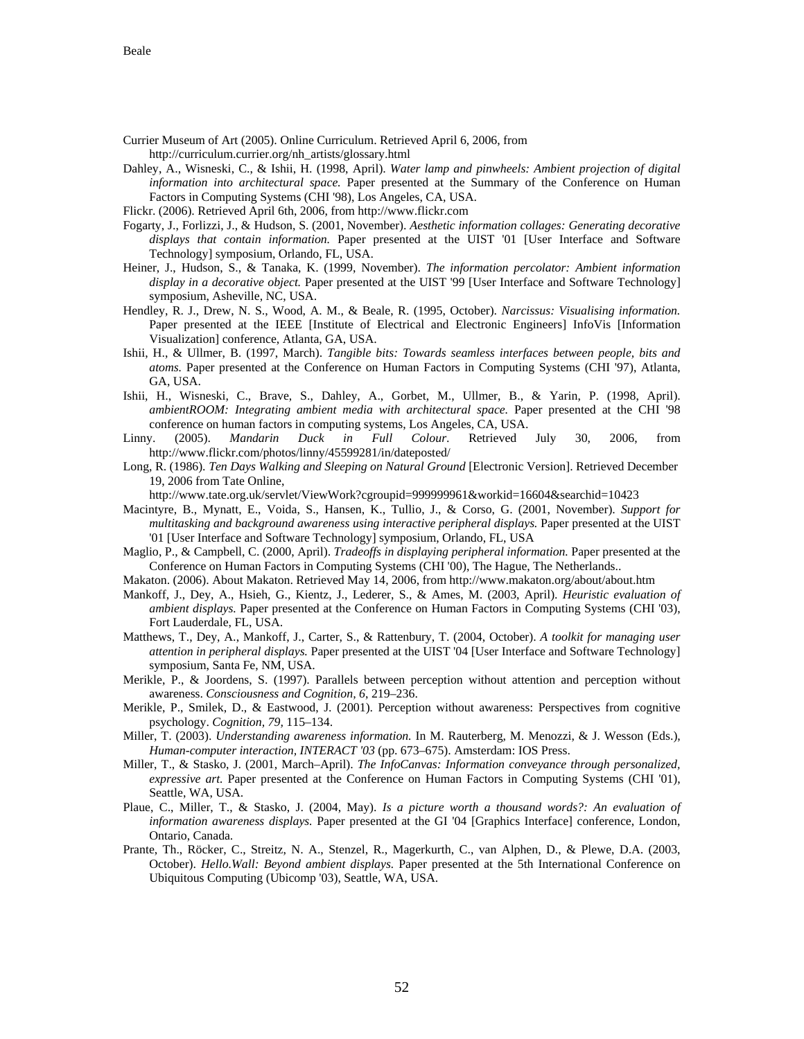- Currier Museum of Art (2005). Online Curriculum. Retrieved April 6, 2006, from http://curriculum.currier.org/nh\_artists/glossary.html
- Dahley, A., Wisneski, C., & Ishii, H. (1998, April). *Water lamp and pinwheels: Ambient projection of digital information into architectural space.* Paper presented at the Summary of the Conference on Human Factors in Computing Systems (CHI '98), Los Angeles, CA, USA.
- Flickr. (2006). Retrieved April 6th, 2006, from http://www.flickr.com
- Fogarty, J., Forlizzi, J., & Hudson, S. (2001, November). *Aesthetic information collages: Generating decorative displays that contain information.* Paper presented at the UIST '01 [User Interface and Software Technology] symposium, Orlando, FL, USA.
- Heiner, J., Hudson, S., & Tanaka, K. (1999, November). *The information percolator: Ambient information display in a decorative object.* Paper presented at the UIST '99 [User Interface and Software Technology] symposium, Asheville, NC, USA.
- Hendley, R. J., Drew, N. S., Wood, A. M., & Beale, R. (1995, October). *Narcissus: Visualising information.* Paper presented at the IEEE [Institute of Electrical and Electronic Engineers] InfoVis [Information Visualization] conference, Atlanta, GA, USA.
- Ishii, H., & Ullmer, B. (1997, March). *Tangible bits: Towards seamless interfaces between people, bits and atoms.* Paper presented at the Conference on Human Factors in Computing Systems (CHI '97), Atlanta, GA, USA.
- Ishii, H., Wisneski, C., Brave, S., Dahley, A., Gorbet, M., Ullmer, B., & Yarin, P. (1998, April). *ambientROOM: Integrating ambient media with architectural space.* Paper presented at the CHI '98 conference on human factors in computing systems, Los Angeles, CA, USA.
- Linny. (2005). *Mandarin Duck in Full Colour*. Retrieved July 30, 2006, from http://www.flickr.com/photos/linny/45599281/in/dateposted/
- Long, R. (1986). *Ten Days Walking and Sleeping on Natural Ground* [Electronic Version]. Retrieved December 19, 2006 from Tate Online,

http://www.tate.org.uk/servlet/ViewWork?cgroupid=999999961&workid=16604&searchid=10423

- Macintyre, B., Mynatt, E., Voida, S., Hansen, K., Tullio, J., & Corso, G. (2001, November). *Support for multitasking and background awareness using interactive peripheral displays.* Paper presented at the UIST '01 [User Interface and Software Technology] symposium, Orlando, FL, USA
- Maglio, P., & Campbell, C. (2000, April). *Tradeoffs in displaying peripheral information.* Paper presented at the Conference on Human Factors in Computing Systems (CHI '00), The Hague, The Netherlands..
- Makaton. (2006). About Makaton. Retrieved May 14, 2006, from http://www.makaton.org/about/about.htm
- Mankoff, J., Dey, A., Hsieh, G., Kientz, J., Lederer, S., & Ames, M. (2003, April). *Heuristic evaluation of ambient displays.* Paper presented at the Conference on Human Factors in Computing Systems (CHI '03), Fort Lauderdale, FL, USA.
- Matthews, T., Dey, A., Mankoff, J., Carter, S., & Rattenbury, T. (2004, October). *A toolkit for managing user attention in peripheral displays.* Paper presented at the UIST '04 [User Interface and Software Technology] symposium, Santa Fe, NM, USA.
- Merikle, P., & Joordens, S. (1997). Parallels between perception without attention and perception without awareness. *Consciousness and Cognition, 6*, 219–236.
- Merikle, P., Smilek, D., & Eastwood, J. (2001). Perception without awareness: Perspectives from cognitive psychology. *Cognition, 79,* 115–134.
- Miller, T. (2003). *Understanding awareness information.* In M. Rauterberg, M. Menozzi, & J. Wesson (Eds.), *Human-computer interaction, INTERACT '03* (pp. 673–675). Amsterdam: IOS Press.
- Miller, T., & Stasko, J. (2001, March–April). *The InfoCanvas: Information conveyance through personalized, expressive art.* Paper presented at the Conference on Human Factors in Computing Systems (CHI '01), Seattle, WA, USA.
- Plaue, C., Miller, T., & Stasko, J. (2004, May). *Is a picture worth a thousand words?: An evaluation of information awareness displays.* Paper presented at the GI '04 [Graphics Interface] conference, London, Ontario, Canada.
- Prante, Th., Röcker, C., Streitz, N. A., Stenzel, R., Magerkurth, C., van Alphen, D., & Plewe, D.A. (2003, October). *Hello.Wall: Beyond ambient displays.* Paper presented at the 5th International Conference on Ubiquitous Computing (Ubicomp '03), Seattle, WA, USA.